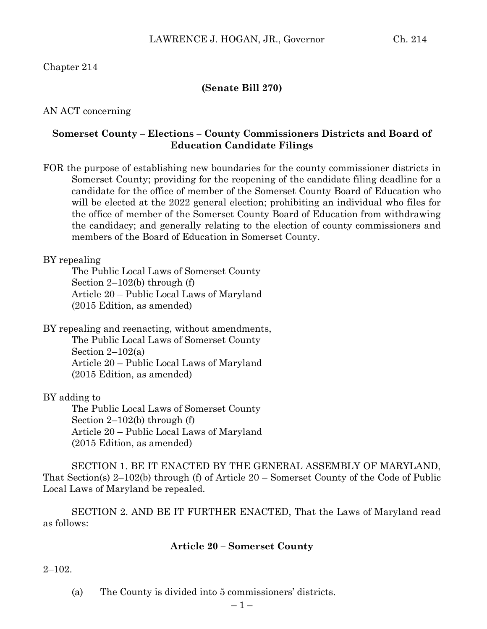# Chapter 214

### **(Senate Bill 270)**

### AN ACT concerning

## **Somerset County – Elections – County Commissioners Districts and Board of Education Candidate Filings**

FOR the purpose of establishing new boundaries for the county commissioner districts in Somerset County; providing for the reopening of the candidate filing deadline for a candidate for the office of member of the Somerset County Board of Education who will be elected at the 2022 general election; prohibiting an individual who files for the office of member of the Somerset County Board of Education from withdrawing the candidacy; and generally relating to the election of county commissioners and members of the Board of Education in Somerset County.

### BY repealing

The Public Local Laws of Somerset County Section 2–102(b) through (f) Article 20 – Public Local Laws of Maryland (2015 Edition, as amended)

BY repealing and reenacting, without amendments, The Public Local Laws of Somerset County Section  $2-102(a)$ Article 20 – Public Local Laws of Maryland (2015 Edition, as amended)

BY adding to

The Public Local Laws of Somerset County Section 2–102(b) through (f) Article 20 – Public Local Laws of Maryland (2015 Edition, as amended)

SECTION 1. BE IT ENACTED BY THE GENERAL ASSEMBLY OF MARYLAND, That Section(s) 2–102(b) through (f) of Article 20 – Somerset County of the Code of Public Local Laws of Maryland be repealed.

SECTION 2. AND BE IT FURTHER ENACTED, That the Laws of Maryland read as follows:

### **Article 20 – Somerset County**

 $2 - 102$ .

(a) The County is divided into 5 commissioners' districts.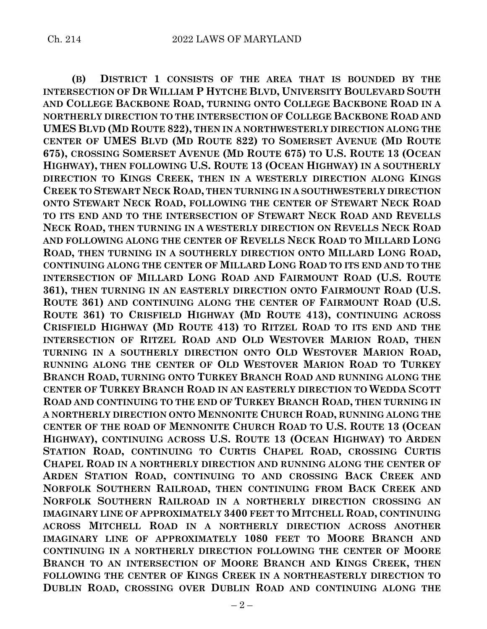**(B) DISTRICT 1 CONSISTS OF THE AREA THAT IS BOUNDED BY THE INTERSECTION OF DR WILLIAM P HYTCHE BLVD, UNIVERSITY BOULEVARD SOUTH AND COLLEGE BACKBONE ROAD, TURNING ONTO COLLEGE BACKBONE ROAD IN A NORTHERLY DIRECTION TO THE INTERSECTION OF COLLEGE BACKBONE ROAD AND UMES BLVD (MD ROUTE 822), THEN IN A NORTHWESTERLY DIRECTION ALONG THE CENTER OF UMES BLVD (MD ROUTE 822) TO SOMERSET AVENUE (MD ROUTE 675), CROSSING SOMERSET AVENUE (MD ROUTE 675) TO U.S. ROUTE 13 (OCEAN HIGHWAY), THEN FOLLOWING U.S. ROUTE 13 (OCEAN HIGHWAY) IN A SOUTHERLY DIRECTION TO KINGS CREEK, THEN IN A WESTERLY DIRECTION ALONG KINGS CREEK TO STEWART NECK ROAD, THEN TURNING IN A SOUTHWESTERLY DIRECTION ONTO STEWART NECK ROAD, FOLLOWING THE CENTER OF STEWART NECK ROAD TO ITS END AND TO THE INTERSECTION OF STEWART NECK ROAD AND REVELLS NECK ROAD, THEN TURNING IN A WESTERLY DIRECTION ON REVELLS NECK ROAD AND FOLLOWING ALONG THE CENTER OF REVELLS NECK ROAD TO MILLARD LONG ROAD, THEN TURNING IN A SOUTHERLY DIRECTION ONTO MILLARD LONG ROAD, CONTINUING ALONG THE CENTER OF MILLARD LONG ROAD TO ITS END AND TO THE INTERSECTION OF MILLARD LONG ROAD AND FAIRMOUNT ROAD (U.S. ROUTE 361), THEN TURNING IN AN EASTERLY DIRECTION ONTO FAIRMOUNT ROAD (U.S. ROUTE 361) AND CONTINUING ALONG THE CENTER OF FAIRMOUNT ROAD (U.S. ROUTE 361) TO CRISFIELD HIGHWAY (MD ROUTE 413), CONTINUING ACROSS CRISFIELD HIGHWAY (MD ROUTE 413) TO RITZEL ROAD TO ITS END AND THE INTERSECTION OF RITZEL ROAD AND OLD WESTOVER MARION ROAD, THEN TURNING IN A SOUTHERLY DIRECTION ONTO OLD WESTOVER MARION ROAD, RUNNING ALONG THE CENTER OF OLD WESTOVER MARION ROAD TO TURKEY BRANCH ROAD, TURNING ONTO TURKEY BRANCH ROAD AND RUNNING ALONG THE CENTER OF TURKEY BRANCH ROAD IN AN EASTERLY DIRECTION TO WEDDA SCOTT ROAD AND CONTINUING TO THE END OF TURKEY BRANCH ROAD, THEN TURNING IN A NORTHERLY DIRECTION ONTO MENNONITE CHURCH ROAD, RUNNING ALONG THE CENTER OF THE ROAD OF MENNONITE CHURCH ROAD TO U.S. ROUTE 13 (OCEAN HIGHWAY), CONTINUING ACROSS U.S. ROUTE 13 (OCEAN HIGHWAY) TO ARDEN STATION ROAD, CONTINUING TO CURTIS CHAPEL ROAD, CROSSING CURTIS CHAPEL ROAD IN A NORTHERLY DIRECTION AND RUNNING ALONG THE CENTER OF ARDEN STATION ROAD, CONTINUING TO AND CROSSING BACK CREEK AND NORFOLK SOUTHERN RAILROAD, THEN CONTINUING FROM BACK CREEK AND NORFOLK SOUTHERN RAILROAD IN A NORTHERLY DIRECTION CROSSING AN IMAGINARY LINE OF APPROXIMATELY 3400 FEET TO MITCHELL ROAD, CONTINUING ACROSS MITCHELL ROAD IN A NORTHERLY DIRECTION ACROSS ANOTHER IMAGINARY LINE OF APPROXIMATELY 1080 FEET TO MOORE BRANCH AND CONTINUING IN A NORTHERLY DIRECTION FOLLOWING THE CENTER OF MOORE BRANCH TO AN INTERSECTION OF MOORE BRANCH AND KINGS CREEK, THEN FOLLOWING THE CENTER OF KINGS CREEK IN A NORTHEASTERLY DIRECTION TO DUBLIN ROAD, CROSSING OVER DUBLIN ROAD AND CONTINUING ALONG THE**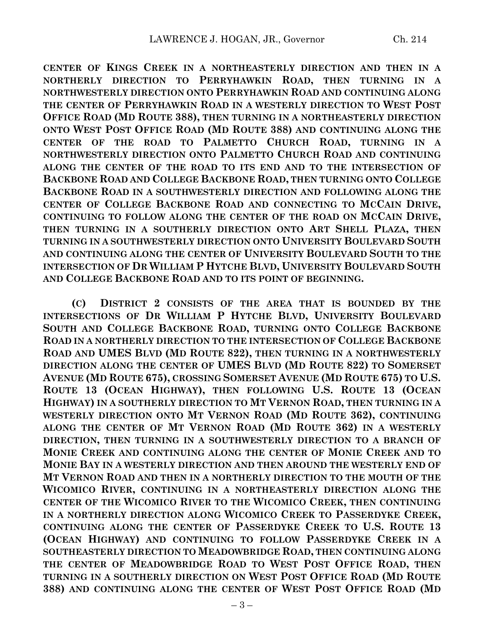**CENTER OF KINGS CREEK IN A NORTHEASTERLY DIRECTION AND THEN IN A NORTHERLY DIRECTION TO PERRYHAWKIN ROAD, THEN TURNING IN A NORTHWESTERLY DIRECTION ONTO PERRYHAWKIN ROAD AND CONTINUING ALONG THE CENTER OF PERRYHAWKIN ROAD IN A WESTERLY DIRECTION TO WEST POST OFFICE ROAD (MD ROUTE 388), THEN TURNING IN A NORTHEASTERLY DIRECTION ONTO WEST POST OFFICE ROAD (MD ROUTE 388) AND CONTINUING ALONG THE CENTER OF THE ROAD TO PALMETTO CHURCH ROAD, TURNING IN A NORTHWESTERLY DIRECTION ONTO PALMETTO CHURCH ROAD AND CONTINUING ALONG THE CENTER OF THE ROAD TO ITS END AND TO THE INTERSECTION OF BACKBONE ROAD AND COLLEGE BACKBONE ROAD, THEN TURNING ONTO COLLEGE BACKBONE ROAD IN A SOUTHWESTERLY DIRECTION AND FOLLOWING ALONG THE CENTER OF COLLEGE BACKBONE ROAD AND CONNECTING TO MCCAIN DRIVE, CONTINUING TO FOLLOW ALONG THE CENTER OF THE ROAD ON MCCAIN DRIVE, THEN TURNING IN A SOUTHERLY DIRECTION ONTO ART SHELL PLAZA, THEN TURNING IN A SOUTHWESTERLY DIRECTION ONTO UNIVERSITY BOULEVARD SOUTH AND CONTINUING ALONG THE CENTER OF UNIVERSITY BOULEVARD SOUTH TO THE INTERSECTION OF DR WILLIAM P HYTCHE BLVD, UNIVERSITY BOULEVARD SOUTH AND COLLEGE BACKBONE ROAD AND TO ITS POINT OF BEGINNING.**

**(C) DISTRICT 2 CONSISTS OF THE AREA THAT IS BOUNDED BY THE INTERSECTIONS OF DR WILLIAM P HYTCHE BLVD, UNIVERSITY BOULEVARD SOUTH AND COLLEGE BACKBONE ROAD, TURNING ONTO COLLEGE BACKBONE ROAD IN A NORTHERLY DIRECTION TO THE INTERSECTION OF COLLEGE BACKBONE ROAD AND UMES BLVD (MD ROUTE 822), THEN TURNING IN A NORTHWESTERLY DIRECTION ALONG THE CENTER OF UMES BLVD (MD ROUTE 822) TO SOMERSET AVENUE (MD ROUTE 675), CROSSING SOMERSET AVENUE (MD ROUTE 675) TO U.S. ROUTE 13 (OCEAN HIGHWAY), THEN FOLLOWING U.S. ROUTE 13 (OCEAN HIGHWAY) IN A SOUTHERLY DIRECTION TO MT VERNON ROAD, THEN TURNING IN A WESTERLY DIRECTION ONTO MT VERNON ROAD (MD ROUTE 362), CONTINUING ALONG THE CENTER OF MT VERNON ROAD (MD ROUTE 362) IN A WESTERLY DIRECTION, THEN TURNING IN A SOUTHWESTERLY DIRECTION TO A BRANCH OF MONIE CREEK AND CONTINUING ALONG THE CENTER OF MONIE CREEK AND TO MONIE BAY IN A WESTERLY DIRECTION AND THEN AROUND THE WESTERLY END OF MT VERNON ROAD AND THEN IN A NORTHERLY DIRECTION TO THE MOUTH OF THE WICOMICO RIVER, CONTINUING IN A NORTHEASTERLY DIRECTION ALONG THE CENTER OF THE WICOMICO RIVER TO THE WICOMICO CREEK, THEN CONTINUING IN A NORTHERLY DIRECTION ALONG WICOMICO CREEK TO PASSERDYKE CREEK, CONTINUING ALONG THE CENTER OF PASSERDYKE CREEK TO U.S. ROUTE 13 (OCEAN HIGHWAY) AND CONTINUING TO FOLLOW PASSERDYKE CREEK IN A SOUTHEASTERLY DIRECTION TO MEADOWBRIDGE ROAD, THEN CONTINUING ALONG THE CENTER OF MEADOWBRIDGE ROAD TO WEST POST OFFICE ROAD, THEN TURNING IN A SOUTHERLY DIRECTION ON WEST POST OFFICE ROAD (MD ROUTE 388) AND CONTINUING ALONG THE CENTER OF WEST POST OFFICE ROAD (MD**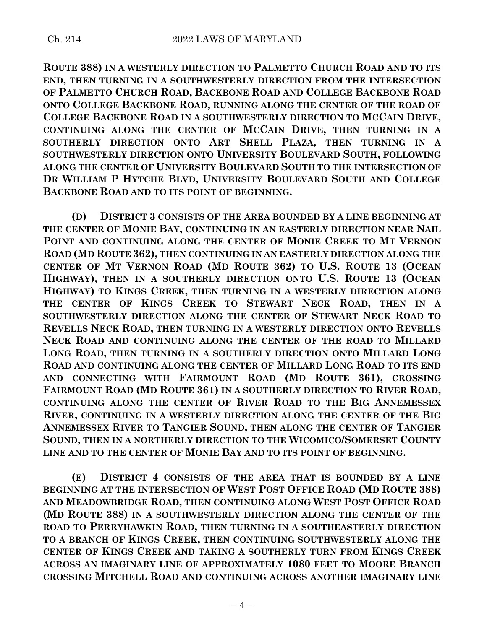**ROUTE 388) IN A WESTERLY DIRECTION TO PALMETTO CHURCH ROAD AND TO ITS END, THEN TURNING IN A SOUTHWESTERLY DIRECTION FROM THE INTERSECTION OF PALMETTO CHURCH ROAD, BACKBONE ROAD AND COLLEGE BACKBONE ROAD ONTO COLLEGE BACKBONE ROAD, RUNNING ALONG THE CENTER OF THE ROAD OF COLLEGE BACKBONE ROAD IN A SOUTHWESTERLY DIRECTION TO MCCAIN DRIVE, CONTINUING ALONG THE CENTER OF MCCAIN DRIVE, THEN TURNING IN A SOUTHERLY DIRECTION ONTO ART SHELL PLAZA, THEN TURNING IN A SOUTHWESTERLY DIRECTION ONTO UNIVERSITY BOULEVARD SOUTH, FOLLOWING ALONG THE CENTER OF UNIVERSITY BOULEVARD SOUTH TO THE INTERSECTION OF DR WILLIAM P HYTCHE BLVD, UNIVERSITY BOULEVARD SOUTH AND COLLEGE BACKBONE ROAD AND TO ITS POINT OF BEGINNING.**

**(D) DISTRICT 3 CONSISTS OF THE AREA BOUNDED BY A LINE BEGINNING AT THE CENTER OF MONIE BAY, CONTINUING IN AN EASTERLY DIRECTION NEAR NAIL POINT AND CONTINUING ALONG THE CENTER OF MONIE CREEK TO MT VERNON ROAD (MD ROUTE 362), THEN CONTINUING IN AN EASTERLY DIRECTION ALONG THE CENTER OF MT VERNON ROAD (MD ROUTE 362) TO U.S. ROUTE 13 (OCEAN HIGHWAY), THEN IN A SOUTHERLY DIRECTION ONTO U.S. ROUTE 13 (OCEAN HIGHWAY) TO KINGS CREEK, THEN TURNING IN A WESTERLY DIRECTION ALONG THE CENTER OF KINGS CREEK TO STEWART NECK ROAD, THEN IN A SOUTHWESTERLY DIRECTION ALONG THE CENTER OF STEWART NECK ROAD TO REVELLS NECK ROAD, THEN TURNING IN A WESTERLY DIRECTION ONTO REVELLS NECK ROAD AND CONTINUING ALONG THE CENTER OF THE ROAD TO MILLARD LONG ROAD, THEN TURNING IN A SOUTHERLY DIRECTION ONTO MILLARD LONG ROAD AND CONTINUING ALONG THE CENTER OF MILLARD LONG ROAD TO ITS END AND CONNECTING WITH FAIRMOUNT ROAD (MD ROUTE 361), CROSSING FAIRMOUNT ROAD (MD ROUTE 361) IN A SOUTHERLY DIRECTION TO RIVER ROAD, CONTINUING ALONG THE CENTER OF RIVER ROAD TO THE BIG ANNEMESSEX RIVER, CONTINUING IN A WESTERLY DIRECTION ALONG THE CENTER OF THE BIG ANNEMESSEX RIVER TO TANGIER SOUND, THEN ALONG THE CENTER OF TANGIER SOUND, THEN IN A NORTHERLY DIRECTION TO THE WICOMICO/SOMERSET COUNTY LINE AND TO THE CENTER OF MONIE BAY AND TO ITS POINT OF BEGINNING.**

**(E) DISTRICT 4 CONSISTS OF THE AREA THAT IS BOUNDED BY A LINE BEGINNING AT THE INTERSECTION OF WEST POST OFFICE ROAD (MD ROUTE 388) AND MEADOWBRIDGE ROAD, THEN CONTINUING ALONG WEST POST OFFICE ROAD (MD ROUTE 388) IN A SOUTHWESTERLY DIRECTION ALONG THE CENTER OF THE ROAD TO PERRYHAWKIN ROAD, THEN TURNING IN A SOUTHEASTERLY DIRECTION TO A BRANCH OF KINGS CREEK, THEN CONTINUING SOUTHWESTERLY ALONG THE CENTER OF KINGS CREEK AND TAKING A SOUTHERLY TURN FROM KINGS CREEK ACROSS AN IMAGINARY LINE OF APPROXIMATELY 1080 FEET TO MOORE BRANCH CROSSING MITCHELL ROAD AND CONTINUING ACROSS ANOTHER IMAGINARY LINE**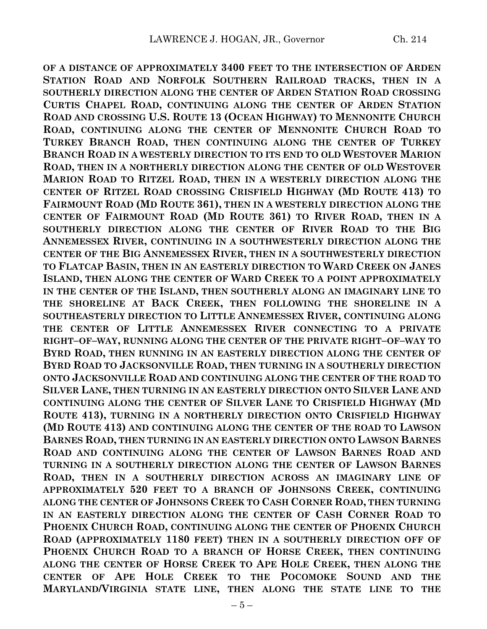**OF A DISTANCE OF APPROXIMATELY 3400 FEET TO THE INTERSECTION OF ARDEN STATION ROAD AND NORFOLK SOUTHERN RAILROAD TRACKS, THEN IN A SOUTHERLY DIRECTION ALONG THE CENTER OF ARDEN STATION ROAD CROSSING CURTIS CHAPEL ROAD, CONTINUING ALONG THE CENTER OF ARDEN STATION ROAD AND CROSSING U.S. ROUTE 13 (OCEAN HIGHWAY) TO MENNONITE CHURCH ROAD, CONTINUING ALONG THE CENTER OF MENNONITE CHURCH ROAD TO TURKEY BRANCH ROAD, THEN CONTINUING ALONG THE CENTER OF TURKEY BRANCH ROAD IN A WESTERLY DIRECTION TO ITS END TO OLD WESTOVER MARION ROAD, THEN IN A NORTHERLY DIRECTION ALONG THE CENTER OF OLD WESTOVER MARION ROAD TO RITZEL ROAD, THEN IN A WESTERLY DIRECTION ALONG THE CENTER OF RITZEL ROAD CROSSING CRISFIELD HIGHWAY (MD ROUTE 413) TO FAIRMOUNT ROAD (MD ROUTE 361), THEN IN A WESTERLY DIRECTION ALONG THE CENTER OF FAIRMOUNT ROAD (MD ROUTE 361) TO RIVER ROAD, THEN IN A SOUTHERLY DIRECTION ALONG THE CENTER OF RIVER ROAD TO THE BIG ANNEMESSEX RIVER, CONTINUING IN A SOUTHWESTERLY DIRECTION ALONG THE CENTER OF THE BIG ANNEMESSEX RIVER, THEN IN A SOUTHWESTERLY DIRECTION TO FLATCAP BASIN, THEN IN AN EASTERLY DIRECTION TO WARD CREEK ON JANES ISLAND, THEN ALONG THE CENTER OF WARD CREEK TO A POINT APPROXIMATELY IN THE CENTER OF THE ISLAND, THEN SOUTHERLY ALONG AN IMAGINARY LINE TO THE SHORELINE AT BACK CREEK, THEN FOLLOWING THE SHORELINE IN A SOUTHEASTERLY DIRECTION TO LITTLE ANNEMESSEX RIVER, CONTINUING ALONG THE CENTER OF LITTLE ANNEMESSEX RIVER CONNECTING TO A PRIVATE RIGHT–OF–WAY, RUNNING ALONG THE CENTER OF THE PRIVATE RIGHT–OF–WAY TO BYRD ROAD, THEN RUNNING IN AN EASTERLY DIRECTION ALONG THE CENTER OF BYRD ROAD TO JACKSONVILLE ROAD, THEN TURNING IN A SOUTHERLY DIRECTION ONTO JACKSONVILLE ROAD AND CONTINUING ALONG THE CENTER OF THE ROAD TO SILVER LANE, THEN TURNING IN AN EASTERLY DIRECTION ONTO SILVER LANE AND CONTINUING ALONG THE CENTER OF SILVER LANE TO CRISFIELD HIGHWAY (MD ROUTE 413), TURNING IN A NORTHERLY DIRECTION ONTO CRISFIELD HIGHWAY (MD ROUTE 413) AND CONTINUING ALONG THE CENTER OF THE ROAD TO LAWSON BARNES ROAD, THEN TURNING IN AN EASTERLY DIRECTION ONTO LAWSON BARNES ROAD AND CONTINUING ALONG THE CENTER OF LAWSON BARNES ROAD AND TURNING IN A SOUTHERLY DIRECTION ALONG THE CENTER OF LAWSON BARNES ROAD, THEN IN A SOUTHERLY DIRECTION ACROSS AN IMAGINARY LINE OF APPROXIMATELY 520 FEET TO A BRANCH OF JOHNSONS CREEK, CONTINUING ALONG THE CENTER OF JOHNSONS CREEK TO CASH CORNER ROAD, THEN TURNING IN AN EASTERLY DIRECTION ALONG THE CENTER OF CASH CORNER ROAD TO PHOENIX CHURCH ROAD, CONTINUING ALONG THE CENTER OF PHOENIX CHURCH ROAD (APPROXIMATELY 1180 FEET) THEN IN A SOUTHERLY DIRECTION OFF OF PHOENIX CHURCH ROAD TO A BRANCH OF HORSE CREEK, THEN CONTINUING ALONG THE CENTER OF HORSE CREEK TO APE HOLE CREEK, THEN ALONG THE CENTER OF APE HOLE CREEK TO THE POCOMOKE SOUND AND THE MARYLAND/VIRGINIA STATE LINE, THEN ALONG THE STATE LINE TO THE**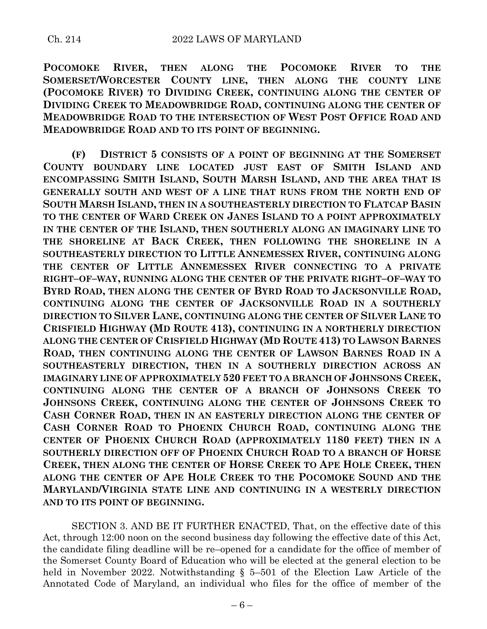**POCOMOKE RIVER, THEN ALONG THE POCOMOKE RIVER TO THE SOMERSET/WORCESTER COUNTY LINE, THEN ALONG THE COUNTY LINE (POCOMOKE RIVER) TO DIVIDING CREEK, CONTINUING ALONG THE CENTER OF DIVIDING CREEK TO MEADOWBRIDGE ROAD, CONTINUING ALONG THE CENTER OF MEADOWBRIDGE ROAD TO THE INTERSECTION OF WEST POST OFFICE ROAD AND MEADOWBRIDGE ROAD AND TO ITS POINT OF BEGINNING.**

**(F) DISTRICT 5 CONSISTS OF A POINT OF BEGINNING AT THE SOMERSET COUNTY BOUNDARY LINE LOCATED JUST EAST OF SMITH ISLAND AND ENCOMPASSING SMITH ISLAND, SOUTH MARSH ISLAND, AND THE AREA THAT IS GENERALLY SOUTH AND WEST OF A LINE THAT RUNS FROM THE NORTH END OF SOUTH MARSH ISLAND, THEN IN A SOUTHEASTERLY DIRECTION TO FLATCAP BASIN TO THE CENTER OF WARD CREEK ON JANES ISLAND TO A POINT APPROXIMATELY IN THE CENTER OF THE ISLAND, THEN SOUTHERLY ALONG AN IMAGINARY LINE TO THE SHORELINE AT BACK CREEK, THEN FOLLOWING THE SHORELINE IN A SOUTHEASTERLY DIRECTION TO LITTLE ANNEMESSEX RIVER, CONTINUING ALONG THE CENTER OF LITTLE ANNEMESSEX RIVER CONNECTING TO A PRIVATE RIGHT–OF–WAY, RUNNING ALONG THE CENTER OF THE PRIVATE RIGHT–OF–WAY TO BYRD ROAD, THEN ALONG THE CENTER OF BYRD ROAD TO JACKSONVILLE ROAD, CONTINUING ALONG THE CENTER OF JACKSONVILLE ROAD IN A SOUTHERLY DIRECTION TO SILVER LANE, CONTINUING ALONG THE CENTER OF SILVER LANE TO CRISFIELD HIGHWAY (MD ROUTE 413), CONTINUING IN A NORTHERLY DIRECTION ALONG THE CENTER OF CRISFIELD HIGHWAY (MD ROUTE 413) TO LAWSON BARNES ROAD, THEN CONTINUING ALONG THE CENTER OF LAWSON BARNES ROAD IN A SOUTHEASTERLY DIRECTION, THEN IN A SOUTHERLY DIRECTION ACROSS AN IMAGINARY LINE OF APPROXIMATELY 520 FEET TO A BRANCH OF JOHNSONS CREEK, CONTINUING ALONG THE CENTER OF A BRANCH OF JOHNSONS CREEK TO JOHNSONS CREEK, CONTINUING ALONG THE CENTER OF JOHNSONS CREEK TO CASH CORNER ROAD, THEN IN AN EASTERLY DIRECTION ALONG THE CENTER OF CASH CORNER ROAD TO PHOENIX CHURCH ROAD, CONTINUING ALONG THE CENTER OF PHOENIX CHURCH ROAD (APPROXIMATELY 1180 FEET) THEN IN A SOUTHERLY DIRECTION OFF OF PHOENIX CHURCH ROAD TO A BRANCH OF HORSE CREEK, THEN ALONG THE CENTER OF HORSE CREEK TO APE HOLE CREEK, THEN ALONG THE CENTER OF APE HOLE CREEK TO THE POCOMOKE SOUND AND THE MARYLAND/VIRGINIA STATE LINE AND CONTINUING IN A WESTERLY DIRECTION AND TO ITS POINT OF BEGINNING.**

SECTION 3. AND BE IT FURTHER ENACTED, That, on the effective date of this Act, through 12:00 noon on the second business day following the effective date of this Act, the candidate filing deadline will be re–opened for a candidate for the office of member of the Somerset County Board of Education who will be elected at the general election to be held in November 2022. Notwithstanding § 5–501 of the Election Law Article of the Annotated Code of Maryland, an individual who files for the office of member of the